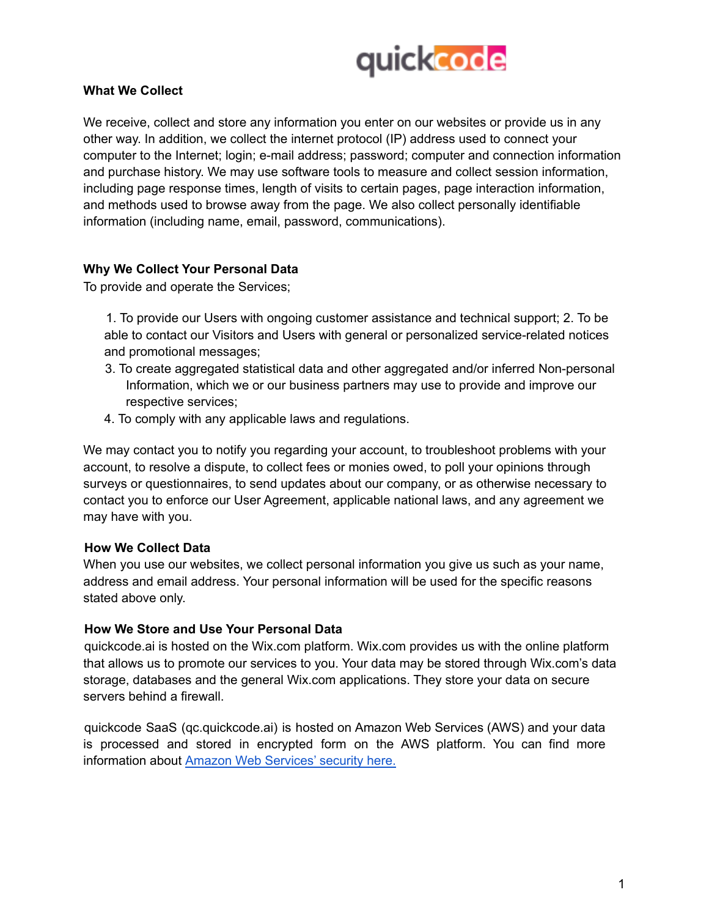

### **What We Collect**

We receive, collect and store any information you enter on our websites or provide us in any other way. In addition, we collect the internet protocol (IP) address used to connect your computer to the Internet; login; e-mail address; password; computer and connection information and purchase history. We may use software tools to measure and collect session information, including page response times, length of visits to certain pages, page interaction information, and methods used to browse away from the page. We also collect personally identifiable information (including name, email, password, communications).

## **Why We Collect Your Personal Data**

To provide and operate the Services;

1. To provide our Users with ongoing customer assistance and technical support; 2. To be able to contact our Visitors and Users with general or personalized service-related notices and promotional messages;

- 3. To create aggregated statistical data and other aggregated and/or inferred Non-personal Information, which we or our business partners may use to provide and improve our respective services;
- 4. To comply with any applicable laws and regulations.

We may contact you to notify you regarding your account, to troubleshoot problems with your account, to resolve a dispute, to collect fees or monies owed, to poll your opinions through surveys or questionnaires, to send updates about our company, or as otherwise necessary to contact you to enforce our User Agreement, applicable national laws, and any agreement we may have with you.

#### **How We Collect Data**

When you use our websites, we collect personal information you give us such as your name, address and email address. Your personal information will be used for the specific reasons stated above only.

#### **How We Store and Use Your Personal Data**

quickcode.ai is hosted on the Wix.com platform. Wix.com provides us with the online platform that allows us to promote our services to you. Your data may be stored through Wix.com's data storage, databases and the general Wix.com applications. They store your data on secure servers behind a firewall.

quickcode SaaS (qc.quickcode.ai) is hosted on Amazon Web Services (AWS) and your data is processed and stored in encrypted form on the AWS platform. You can find more information about Amazon Web Services' security here.